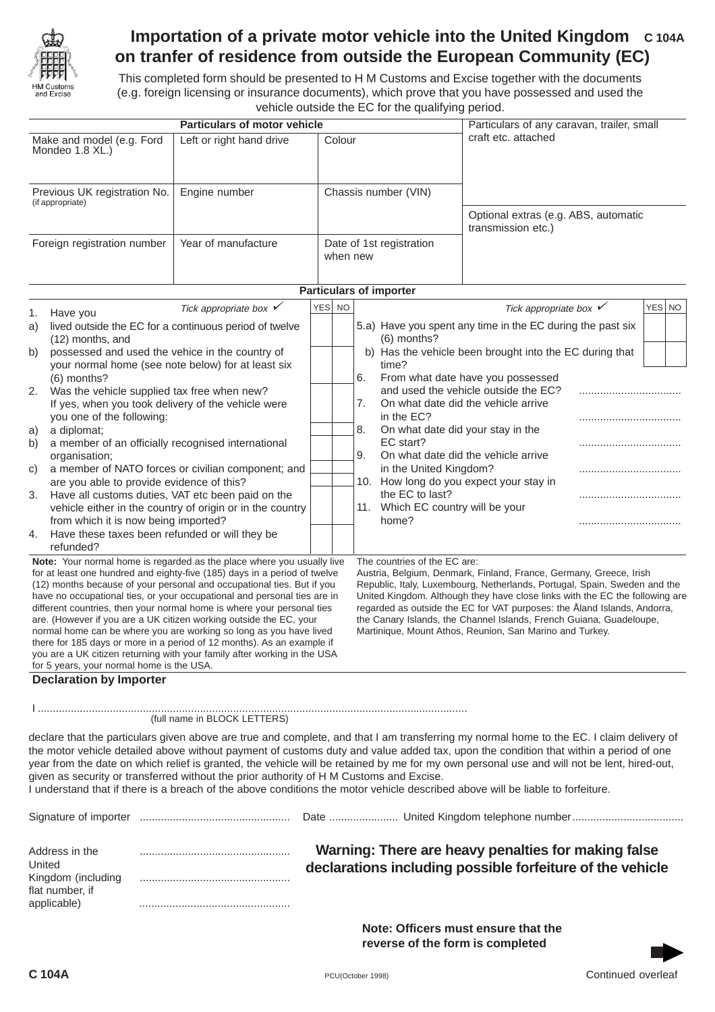

## **Importation of a private motor vehicle into the United Kingdom C 104A on tranfer of residence from outside the European Community (EC)**

This completed form should be presented to H M Customs and Excise together with the documents (e.g. foreign licensing or insurance documents), which prove that you have possessed and used the vehicle outside the EC for the qualifying period.

|                                                                                  |                                                                                                                                                                                                                                                                                                                                                                                                                                                                                                                                                                                                                                                                                                                                                                                                                                                                                                                                                                                                                                                                 | Particulars of motor vehicle                                                                                                                                                                                                                                                                   | Particulars of any caravan, trailer, small<br>craft etc. attached                                                                      |  |  |                                                                                                      |                                                                                                                                                                                                                                                                                                                                                                                                                                                                                                                                                                  |        |  |
|----------------------------------------------------------------------------------|-----------------------------------------------------------------------------------------------------------------------------------------------------------------------------------------------------------------------------------------------------------------------------------------------------------------------------------------------------------------------------------------------------------------------------------------------------------------------------------------------------------------------------------------------------------------------------------------------------------------------------------------------------------------------------------------------------------------------------------------------------------------------------------------------------------------------------------------------------------------------------------------------------------------------------------------------------------------------------------------------------------------------------------------------------------------|------------------------------------------------------------------------------------------------------------------------------------------------------------------------------------------------------------------------------------------------------------------------------------------------|----------------------------------------------------------------------------------------------------------------------------------------|--|--|------------------------------------------------------------------------------------------------------|------------------------------------------------------------------------------------------------------------------------------------------------------------------------------------------------------------------------------------------------------------------------------------------------------------------------------------------------------------------------------------------------------------------------------------------------------------------------------------------------------------------------------------------------------------------|--------|--|
| Make and model (e.g. Ford<br>Mondeo 1.8 XL.)                                     |                                                                                                                                                                                                                                                                                                                                                                                                                                                                                                                                                                                                                                                                                                                                                                                                                                                                                                                                                                                                                                                                 | Left or right hand drive                                                                                                                                                                                                                                                                       |                                                                                                                                        |  |  | Colour                                                                                               |                                                                                                                                                                                                                                                                                                                                                                                                                                                                                                                                                                  |        |  |
| Previous UK registration No.<br>(if appropriate)<br>Foreign registration number  |                                                                                                                                                                                                                                                                                                                                                                                                                                                                                                                                                                                                                                                                                                                                                                                                                                                                                                                                                                                                                                                                 | Engine number                                                                                                                                                                                                                                                                                  | Chassis number (VIN)<br>Date of 1st registration<br>when new                                                                           |  |  |                                                                                                      | Optional extras (e.g. ABS, automatic<br>transmission etc.)                                                                                                                                                                                                                                                                                                                                                                                                                                                                                                       |        |  |
|                                                                                  |                                                                                                                                                                                                                                                                                                                                                                                                                                                                                                                                                                                                                                                                                                                                                                                                                                                                                                                                                                                                                                                                 | Year of manufacture                                                                                                                                                                                                                                                                            |                                                                                                                                        |  |  |                                                                                                      |                                                                                                                                                                                                                                                                                                                                                                                                                                                                                                                                                                  |        |  |
|                                                                                  |                                                                                                                                                                                                                                                                                                                                                                                                                                                                                                                                                                                                                                                                                                                                                                                                                                                                                                                                                                                                                                                                 |                                                                                                                                                                                                                                                                                                |                                                                                                                                        |  |  | <b>Particulars of importer</b>                                                                       |                                                                                                                                                                                                                                                                                                                                                                                                                                                                                                                                                                  |        |  |
|                                                                                  |                                                                                                                                                                                                                                                                                                                                                                                                                                                                                                                                                                                                                                                                                                                                                                                                                                                                                                                                                                                                                                                                 | Tick appropriate box $\checkmark$                                                                                                                                                                                                                                                              | YES NO                                                                                                                                 |  |  |                                                                                                      | Tick appropriate box $\checkmark$                                                                                                                                                                                                                                                                                                                                                                                                                                                                                                                                | YES NO |  |
| 1.<br>a)                                                                         | Have you<br>(12) months, and                                                                                                                                                                                                                                                                                                                                                                                                                                                                                                                                                                                                                                                                                                                                                                                                                                                                                                                                                                                                                                    | lived outside the EC for a continuous period of twelve                                                                                                                                                                                                                                         |                                                                                                                                        |  |  | $(6)$ months?                                                                                        | 5.a) Have you spent any time in the EC during the past six                                                                                                                                                                                                                                                                                                                                                                                                                                                                                                       |        |  |
| b)<br>2.<br>a)<br>b)<br>C)<br>3.<br>4.                                           | possessed and used the vehice in the country of<br>your normal home (see note below) for at least six<br>(6) months?<br>Was the vehicle supplied tax free when new?<br>If yes, when you took delivery of the vehicle were<br>you one of the following:<br>a diplomat;<br>a member of an officially recognised international<br>organisation:<br>a member of NATO forces or civilian component; and<br>are you able to provide evidence of this?<br>Have all customs duties, VAT etc been paid on the<br>vehicle either in the country of origin or in the country<br>from which it is now being imported?<br>Have these taxes been refunded or will they be<br>refunded?<br>Note: Your normal home is regarded as the place where you usually live<br>for at least one hundred and eighty-five (185) days in a period of twelve<br>(12) months because of your personal and occupational ties. But if you<br>have no occupational ties, or your occupational and personal ties are in<br>different countries, then your normal home is where your personal ties |                                                                                                                                                                                                                                                                                                | time?<br>6.<br>7.<br>in the EC?<br>8.<br>EC start?<br>9.<br>11. Which EC country will be your<br>home?<br>The countries of the EC are: |  |  | b) Has the vehicle been brought into the EC during that<br>in the United Kingdom?<br>the EC to last? | From what date have you possessed<br>and used the vehicle outside the EC?<br>On what date did the vehicle arrive<br>On what date did your stay in the<br>On what date did the vehicle arrive<br>10. How long do you expect your stay in<br>Austria, Belgium, Denmark, Finland, France, Germany, Greece, Irish<br>Republic, Italy, Luxembourg, Netherlands, Portugal, Spain, Sweden and the<br>United Kingdom. Although they have close links with the EC the following are<br>regarded as outside the EC for VAT purposes: the Åland Islands, Andorra,           |        |  |
|                                                                                  | for 5 years, your normal home is the USA.                                                                                                                                                                                                                                                                                                                                                                                                                                                                                                                                                                                                                                                                                                                                                                                                                                                                                                                                                                                                                       | are. (However if you are a UK citizen working outside the EC, your<br>normal home can be where you are working so long as you have lived<br>there for 185 days or more in a period of 12 months). As an example if<br>you are a UK citizen returning with your family after working in the USA |                                                                                                                                        |  |  |                                                                                                      | the Canary Islands, the Channel Islands, French Guiana, Guadeloupe,<br>Martinique, Mount Athos, Reunion, San Marino and Turkey.                                                                                                                                                                                                                                                                                                                                                                                                                                  |        |  |
|                                                                                  | <b>Declaration by Importer</b>                                                                                                                                                                                                                                                                                                                                                                                                                                                                                                                                                                                                                                                                                                                                                                                                                                                                                                                                                                                                                                  |                                                                                                                                                                                                                                                                                                |                                                                                                                                        |  |  |                                                                                                      |                                                                                                                                                                                                                                                                                                                                                                                                                                                                                                                                                                  |        |  |
|                                                                                  |                                                                                                                                                                                                                                                                                                                                                                                                                                                                                                                                                                                                                                                                                                                                                                                                                                                                                                                                                                                                                                                                 | (full name in BLOCK LETTERS)                                                                                                                                                                                                                                                                   |                                                                                                                                        |  |  |                                                                                                      |                                                                                                                                                                                                                                                                                                                                                                                                                                                                                                                                                                  |        |  |
|                                                                                  |                                                                                                                                                                                                                                                                                                                                                                                                                                                                                                                                                                                                                                                                                                                                                                                                                                                                                                                                                                                                                                                                 | given as security or transferred without the prior authority of H M Customs and Excise.                                                                                                                                                                                                        |                                                                                                                                        |  |  |                                                                                                      | declare that the particulars given above are true and complete, and that I am transferring my normal home to the EC. I claim delivery of<br>the motor vehicle detailed above without payment of customs duty and value added tax, upon the condition that within a period of one<br>year from the date on which relief is granted, the vehicle will be retained by me for my own personal use and will not be lent, hired-out,<br>I understand that if there is a breach of the above conditions the motor vehicle described above will be liable to forfeiture. |        |  |
|                                                                                  |                                                                                                                                                                                                                                                                                                                                                                                                                                                                                                                                                                                                                                                                                                                                                                                                                                                                                                                                                                                                                                                                 |                                                                                                                                                                                                                                                                                                |                                                                                                                                        |  |  |                                                                                                      |                                                                                                                                                                                                                                                                                                                                                                                                                                                                                                                                                                  |        |  |
| Address in the<br>United<br>Kingdom (including<br>flat number, if<br>applicable) |                                                                                                                                                                                                                                                                                                                                                                                                                                                                                                                                                                                                                                                                                                                                                                                                                                                                                                                                                                                                                                                                 |                                                                                                                                                                                                                                                                                                | Warning: There are heavy penalties for making false<br>declarations including possible forfeiture of the vehicle                       |  |  |                                                                                                      |                                                                                                                                                                                                                                                                                                                                                                                                                                                                                                                                                                  |        |  |
|                                                                                  |                                                                                                                                                                                                                                                                                                                                                                                                                                                                                                                                                                                                                                                                                                                                                                                                                                                                                                                                                                                                                                                                 |                                                                                                                                                                                                                                                                                                |                                                                                                                                        |  |  |                                                                                                      | Note: Officers must ensure that the<br>reverse of the form is completed                                                                                                                                                                                                                                                                                                                                                                                                                                                                                          |        |  |